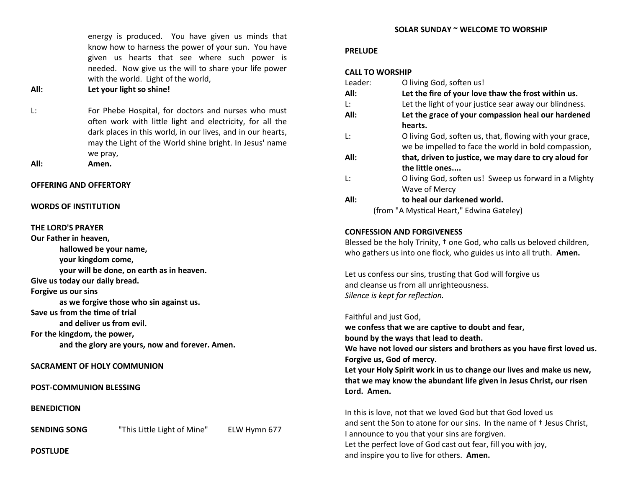energy is produced. You have given us minds that know how to harness the power of your sun. You have given us hearts that see where such power is needed. Now give us the will to share your life power with the world. Light of the world,

#### **All: Let your light so shine!**

- L: For Phebe Hospital, for doctors and nurses who must often work with little light and electricity, for all the dark places in this world, in our lives, and in our hearts, may the Light of the World shine bright. In Jesus' name we pray,
- **All: Amen.**

#### **OFFERING AND OFFERTORY**

#### **WORDS OF INSTITUTION**

#### **THE LORD'S PRAYER**

**Our Father in heaven, hallowed be your name, your kingdom come, your will be done, on earth as in heaven. Give us today our daily bread. Forgive us our sins as we forgive those who sin against us. Save us from the time of trial and deliver us from evil. For the kingdom, the power, and the glory are yours, now and forever. Amen.**

#### **SACRAMENT OF HOLY COMMUNION**

**POST-COMMUNION BLESSING**

**BENEDICTION**

**SENDING SONG** "This Little Light of Mine" ELW Hymn 677

**POSTLUDE**

#### **SOLAR SUNDAY ~ WELCOME TO WORSHIP**

#### **PRELUDE**

#### **CALL TO WORSHIP**

| Leader: | O living God, soften us!                                |
|---------|---------------------------------------------------------|
| All:    | Let the fire of your love thaw the frost within us.     |
| Ŀ.      | Let the light of your justice sear away our blindness.  |
| All:    | Let the grace of your compassion heal our hardened      |
|         | hearts.                                                 |
| Ŀ:      | O living God, soften us, that, flowing with your grace, |
|         | we be impelled to face the world in bold compassion,    |
| All:    | that, driven to justice, we may dare to cry aloud for   |
|         | the little ones                                         |
| Ŀ.      | O living God, soften us! Sweep us forward in a Mighty   |
|         | Wave of Mercy                                           |
| All:    | to heal our darkened world.                             |
|         | (from "A Mystical Heart," Edwina Gateley)               |

# **CONFESSION AND FORGIVENESS**

Blessed be the holy Trinity, † one God, who calls us beloved children, who gathers us into one flock, who guides us into all truth. **Amen.**

Let us confess our sins, trusting that God will forgive us and cleanse us from all unrighteousness. *Silence is kept for reflection.*

Faithful and just God, **we confess that we are captive to doubt and fear, bound by the ways that lead to death. We have not loved our sisters and brothers as you have first loved us. Forgive us, God of mercy. Let your Holy Spirit work in us to change our lives and make us new, that we may know the abundant life given in Jesus Christ, our risen Lord. Amen.** In this is love, not that we loved God but that God loved us and sent the Son to atone for our sins. In the name of † Jesus Christ, I announce to you that your sins are forgiven.

Let the perfect love of God cast out fear, fill you with joy, and inspire you to live for others. **Amen.**